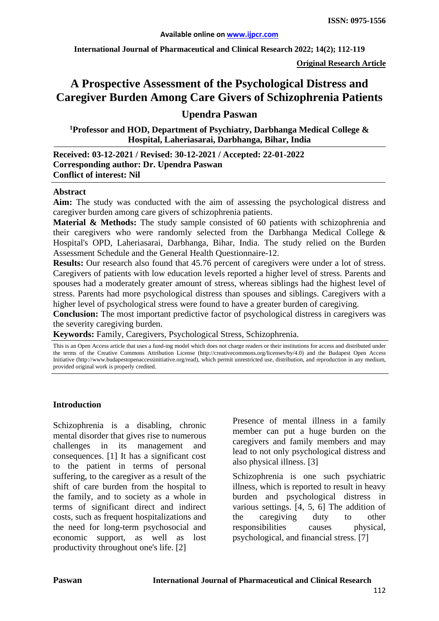**International Journal of Pharmaceutical and Clinical Research 2022; 14(2); 112-119**

**Original Research Article**

# **A Prospective Assessment of the Psychological Distress and Caregiver Burden Among Care Givers of Schizophrenia Patients**

# **Upendra Paswan**

**1Professor and HOD, Department of Psychiatry, Darbhanga Medical College & Hospital, Laheriasarai, Darbhanga, Bihar, India**

#### **Received: 03-12-2021 / Revised: 30-12-2021 / Accepted: 22-01-2022 Corresponding author: Dr. Upendra Paswan Conflict of interest: Nil**

#### **Abstract**

**Aim:** The study was conducted with the aim of assessing the psychological distress and caregiver burden among care givers of schizophrenia patients.

**Material & Methods:** The study sample consisted of 60 patients with schizophrenia and their caregivers who were randomly selected from the Darbhanga Medical College & Hospital's OPD, Laheriasarai, Darbhanga, Bihar, India. The study relied on the Burden Assessment Schedule and the General Health Questionnaire-12.

**Results:** Our research also found that 45.76 percent of caregivers were under a lot of stress. Caregivers of patients with low education levels reported a higher level of stress. Parents and spouses had a moderately greater amount of stress, whereas siblings had the highest level of stress. Parents had more psychological distress than spouses and siblings. Caregivers with a higher level of psychological stress were found to have a greater burden of caregiving.

**Conclusion:** The most important predictive factor of psychological distress in caregivers was the severity caregiving burden.

**Keywords:** Family, Caregivers, Psychological Stress, Schizophrenia.

This is an Open Access article that uses a fund-ing model which does not charge readers or their institutions for access and distributed under the terms of the Creative Commons Attribution License (http://creativecommons.org/licenses/by/4.0) and the Budapest Open Access Initiative (http://www.budapestopenaccessinitiative.org/read), which permit unrestricted use, distribution, and reproduction in any medium, provided original work is properly credited.

#### **Introduction**

Schizophrenia is a disabling, chronic mental disorder that gives rise to numerous challenges in its management and consequences. [1] It has a significant cost to the patient in terms of personal suffering, to the caregiver as a result of the shift of care burden from the hospital to the family, and to society as a whole in terms of significant direct and indirect costs, such as frequent hospitalizations and the need for long-term psychosocial and economic support, as well as lost productivity throughout one's life. [2]

Presence of mental illness in a family member can put a huge burden on the caregivers and family members and may lead to not only psychological distress and also physical illness. [3]

Schizophrenia is one such psychiatric illness, which is reported to result in heavy burden and psychological distress in various settings. [4, 5, 6] The addition of the caregiving duty to other responsibilities causes physical, psychological, and financial stress. [7]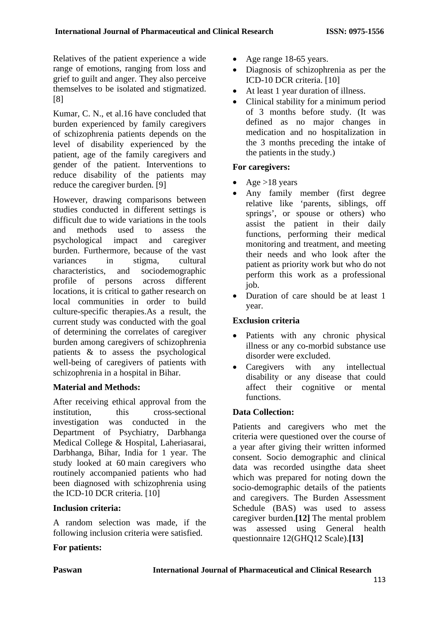Relatives of the patient experience a wide range of emotions, ranging from loss and grief to guilt and anger. They also perceive themselves to be isolated and stigmatized. [8]

Kumar, C. N., et al.16 have concluded that burden experienced by family caregivers of schizophrenia patients depends on the level of disability experienced by the patient, age of the family caregivers and gender of the patient. Interventions to reduce disability of the patients may reduce the caregiver burden. [9]

However, drawing comparisons between studies conducted in different settings is difficult due to wide variations in the tools and methods used to assess the psychological impact and caregiver burden. Furthermore, because of the vast variances in stigma, cultural characteristics, and sociodemographic profile of persons across different locations, it is critical to gather research on local communities in order to build culture-specific therapies.As a result, the current study was conducted with the goal of determining the correlates of caregiver burden among caregivers of schizophrenia patients & to assess the psychological well-being of caregivers of patients with schizophrenia in a hospital in Bihar.

# **Material and Methods:**

After receiving ethical approval from the institution, this cross-sectional investigation was conducted in the Department of Psychiatry, Darbhanga Medical College & Hospital, Laheriasarai, Darbhanga, Bihar, India for 1 year. The study looked at 60 main caregivers who routinely accompanied patients who had been diagnosed with schizophrenia using the ICD-10 DCR criteria. [10]

## **Inclusion criteria:**

A random selection was made, if the following inclusion criteria were satisfied.

## **For patients:**

- Age range 18-65 years.
- Diagnosis of schizophrenia as per the ICD-10 DCR criteria. [10]
- At least 1 year duration of illness.
- Clinical stability for a minimum period of 3 months before study. (It was defined as no major changes in medication and no hospitalization in the 3 months preceding the intake of the patients in the study.)

## **For caregivers:**

- Age  $>18$  years
- Any family member (first degree relative like 'parents, siblings, off springs', or spouse or others) who assist the patient in their daily functions, performing their medical monitoring and treatment, and meeting their needs and who look after the patient as priority work but who do not perform this work as a professional job.
- Duration of care should be at least 1 year.

## **Exclusion criteria**

- Patients with any chronic physical illness or any co-morbid substance use disorder were excluded.
- Caregivers with any intellectual disability or any disease that could affect their cognitive or mental functions.

## **Data Collection:**

Patients and caregivers who met the criteria were questioned over the course of a year after giving their written informed consent. Socio demographic and clinical data was recorded usingthe data sheet which was prepared for noting down the socio-demographic details of the patients and caregivers. The Burden Assessment Schedule (BAS) was used to assess caregiver burden.**[12]** The mental problem was assessed using General health questionnaire 12(GHQ12 Scale).**[13]**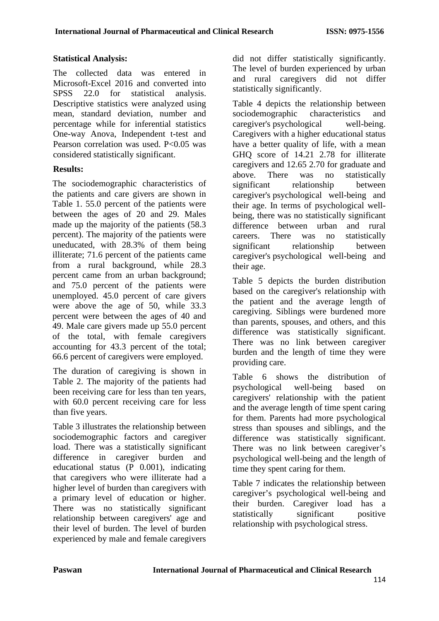## **Statistical Analysis:**

The collected data was entered in Microsoft-Excel 2016 and converted into SPSS 22.0 for statistical analysis. Descriptive statistics were analyzed using mean, standard deviation, number and percentage while for inferential statistics One-way Anova, Independent t-test and Pearson correlation was used. P<0.05 was considered statistically significant.

## **Results:**

The sociodemographic characteristics of the patients and care givers are shown in Table 1. 55.0 percent of the patients were between the ages of 20 and 29. Males made up the majority of the patients (58.3 percent). The majority of the patients were uneducated, with 28.3% of them being illiterate; 71.6 percent of the patients came from a rural background, while 28.3 percent came from an urban background; and 75.0 percent of the patients were unemployed. 45.0 percent of care givers were above the age of 50, while 33.3 percent were between the ages of 40 and 49. Male care givers made up 55.0 percent of the total, with female caregivers accounting for 43.3 percent of the total; 66.6 percent of caregivers were employed.

The duration of caregiving is shown in Table 2. The majority of the patients had been receiving care for less than ten years, with 60.0 percent receiving care for less than five years.

Table 3 illustrates the relationship between sociodemographic factors and caregiver load. There was a statistically significant difference in caregiver burden and educational status (P 0.001), indicating that caregivers who were illiterate had a higher level of burden than caregivers with a primary level of education or higher. There was no statistically significant relationship between caregivers' age and their level of burden. The level of burden experienced by male and female caregivers

did not differ statistically significantly. The level of burden experienced by urban and rural caregivers did not differ statistically significantly.

Table 4 depicts the relationship between sociodemographic characteristics and caregiver's psychological well-being. Caregivers with a higher educational status have a better quality of life, with a mean GHQ score of 14.21 2.78 for illiterate caregivers and 12.65 2.70 for graduate and above. There was no statistically significant relationship between caregiver's psychological well-being and their age. In terms of psychological wellbeing, there was no statistically significant difference between urban and rural careers. There was no statistically significant relationship between caregiver's psychological well-being and their age.

Table 5 depicts the burden distribution based on the caregiver's relationship with the patient and the average length of caregiving. Siblings were burdened more than parents, spouses, and others, and this difference was statistically significant. There was no link between caregiver burden and the length of time they were providing care.

Table 6 shows the distribution of psychological well-being based on caregivers' relationship with the patient and the average length of time spent caring for them. Parents had more psychological stress than spouses and siblings, and the difference was statistically significant. There was no link between caregiver's psychological well-being and the length of time they spent caring for them.

Table 7 indicates the relationship between caregiver's psychological well-being and their burden. Caregiver load has a statistically significant positive relationship with psychological stress.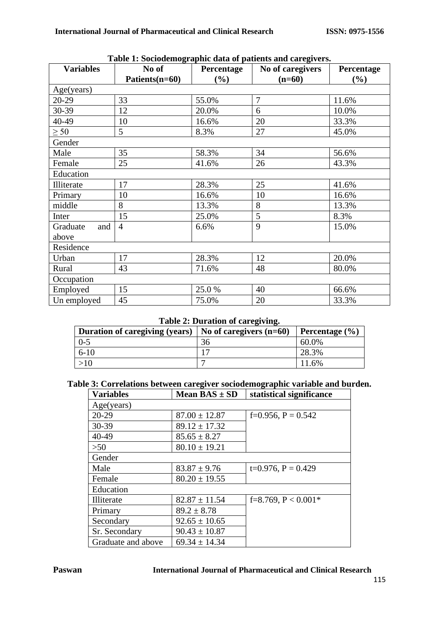| Table 1. Sociouchtographic uata or patients and caregivers.<br><b>Variables</b><br>No of<br>No of caregivers<br>Percentage |                |       |                |                   |  |
|----------------------------------------------------------------------------------------------------------------------------|----------------|-------|----------------|-------------------|--|
|                                                                                                                            | Patients(n=60) | (%)   | $(n=60)$       | Percentage<br>(%) |  |
| Age(years)                                                                                                                 |                |       |                |                   |  |
| $20-29$                                                                                                                    | 33             | 55.0% | $\overline{7}$ | 11.6%             |  |
| 30-39                                                                                                                      | 12             | 20.0% | 6              | 10.0%             |  |
| 40-49                                                                                                                      | 10             | 16.6% | 20             | 33.3%             |  |
| $\geq 50$                                                                                                                  | 5              | 8.3%  | 27             | 45.0%             |  |
| Gender                                                                                                                     |                |       |                |                   |  |
| Male                                                                                                                       | 35             | 58.3% | 34             | 56.6%             |  |
| Female                                                                                                                     | 25             | 41.6% | 26             | 43.3%             |  |
| Education                                                                                                                  |                |       |                |                   |  |
| Illiterate                                                                                                                 | 17             | 28.3% | 25             | 41.6%             |  |
| Primary                                                                                                                    | 10             | 16.6% | 10             | 16.6%             |  |
| middle                                                                                                                     | 8              | 13.3% | 8              | 13.3%             |  |
| Inter                                                                                                                      | 15             | 25.0% | 5              | 8.3%              |  |
| Graduate<br>and                                                                                                            | $\overline{4}$ | 6.6%  | 9              | 15.0%             |  |
| above                                                                                                                      |                |       |                |                   |  |
| Residence                                                                                                                  |                |       |                |                   |  |
| Urban                                                                                                                      | 17             | 28.3% | 12             | 20.0%             |  |
| Rural                                                                                                                      | 43             | 71.6% | 48             | 80.0%             |  |
| Occupation                                                                                                                 |                |       |                |                   |  |
| Employed                                                                                                                   | 15             | 25.0% | 40             | 66.6%             |  |
| Un employed                                                                                                                | 45             | 75.0% | 20             | 33.3%             |  |

|  |  |  |  | Table 1: Sociodemographic data of patients and caregivers. |  |
|--|--|--|--|------------------------------------------------------------|--|
|  |  |  |  |                                                            |  |

#### **Table 2: Duration of caregiving.**

| <b>Duration of caregiving (years)</b> | $\vert$ No of caregivers (n=60) | Percentage $(\% )$ |
|---------------------------------------|---------------------------------|--------------------|
| 0-5                                   |                                 | 60.0%              |
| $6-10$                                |                                 | 28.3%              |
|                                       |                                 | 11.6%              |

#### **Table 3: Correlations between caregiver sociodemographic variable and burden.**

| <b>Variables</b>   | Mean $BAS \pm SD$ | statistical significance |
|--------------------|-------------------|--------------------------|
| Age(years)         |                   |                          |
| $20 - 29$          | $87.00 \pm 12.87$ | f=0.956, $P = 0.542$     |
| 30-39              | $89.12 \pm 17.32$ |                          |
| 40-49              | $85.65 \pm 8.27$  |                          |
| >50                | $80.10 \pm 19.21$ |                          |
| Gender             |                   |                          |
| Male               | $83.87 \pm 9.76$  | $t=0.976$ , $P = 0.429$  |
| Female             | $80.20 \pm 19.55$ |                          |
| Education          |                   |                          |
| Illiterate         | $82.87 \pm 11.54$ | f=8.769, $P < 0.001*$    |
| Primary            | $89.2 \pm 8.78$   |                          |
| Secondary          | $92.65 \pm 10.65$ |                          |
| Sr. Secondary      | $90.43 \pm 10.87$ |                          |
| Graduate and above | $69.34 \pm 14.34$ |                          |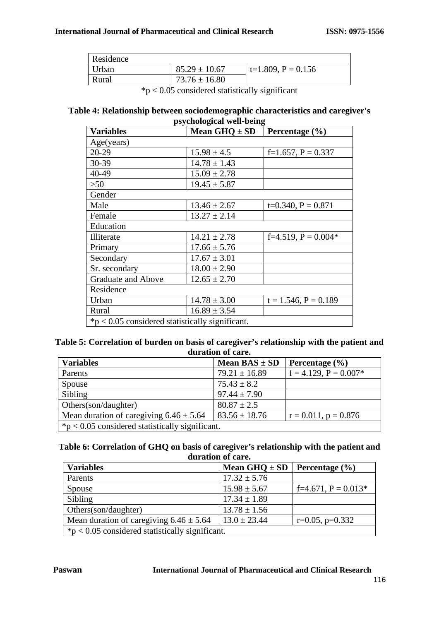| Residence |                   |                    |
|-----------|-------------------|--------------------|
| Urban     | $85.29 \pm 10.67$ | $t=1.809, P=0.156$ |
| Rural     | $73.76 \pm 16.80$ |                    |
|           |                   |                    |

 $*p < 0.05$  considered statistically significant

#### **Table 4: Relationship between sociodemographic characteristics and caregiver's psychological well-being**

| $\mu$ , chological well being                     |                   |                           |  |  |  |
|---------------------------------------------------|-------------------|---------------------------|--|--|--|
| <b>Variables</b>                                  | Mean $GHQ \pm SD$ | Percentage $(\% )$        |  |  |  |
| Age(years)                                        |                   |                           |  |  |  |
| 20-29                                             | $15.98 \pm 4.5$   | f=1.657, $P = 0.337$      |  |  |  |
| 30-39                                             | $14.78 \pm 1.43$  |                           |  |  |  |
| 40-49                                             | $15.09 \pm 2.78$  |                           |  |  |  |
| >50                                               | $19.45 \pm 5.87$  |                           |  |  |  |
| Gender                                            |                   |                           |  |  |  |
| Male                                              | $13.46 \pm 2.67$  | $t=0.340, P = 0.871$      |  |  |  |
| Female                                            | $13.27 \pm 2.14$  |                           |  |  |  |
| Education                                         |                   |                           |  |  |  |
| <b>Illiterate</b>                                 | $14.21 \pm 2.78$  | $f=4.519, P=0.004*$       |  |  |  |
| Primary                                           | $17.66 \pm 5.76$  |                           |  |  |  |
| Secondary                                         | $17.67 \pm 3.01$  |                           |  |  |  |
| Sr. secondary                                     | $18.00 \pm 2.90$  |                           |  |  |  |
| <b>Graduate and Above</b>                         | $12.65 \pm 2.70$  |                           |  |  |  |
| Residence                                         |                   |                           |  |  |  |
| Urban                                             | $14.78 \pm 3.00$  | $t = 1.546$ , $P = 0.189$ |  |  |  |
| Rural                                             | $16.89 \pm 3.54$  |                           |  |  |  |
| $*p < 0.05$ considered statistically significant. |                   |                           |  |  |  |

#### **Table 5: Correlation of burden on basis of caregiver's relationship with the patient and duration of care.**

| <b>Variables</b>                                  | Mean $BAS \pm SD$ | Percentage $(\% )$         |  |
|---------------------------------------------------|-------------------|----------------------------|--|
| Parents                                           | $79.21 \pm 16.89$ | $f = 4.129$ , $P = 0.007*$ |  |
| Spouse                                            | $75.43 \pm 8.2$   |                            |  |
| Sibling                                           | $97.44 \pm 7.90$  |                            |  |
| Others(son/daughter)                              | $80.87 \pm 2.5$   |                            |  |
| Mean duration of caregiving $6.46 \pm 5.64$       | $83.56 \pm 18.76$ | $r = 0.011$ , $p = 0.876$  |  |
| $*p < 0.05$ considered statistically significant. |                   |                            |  |

#### **Table 6: Correlation of GHQ on basis of caregiver's relationship with the patient and duration of care.**

| <b>Variables</b>                                  | Mean $GHQ \pm SD$ | Percentage $(\% )$   |  |  |
|---------------------------------------------------|-------------------|----------------------|--|--|
| Parents                                           | $17.32 \pm 5.76$  |                      |  |  |
| Spouse                                            | $15.98 \pm 5.67$  | $f=4.671, P=0.013*$  |  |  |
| Sibling                                           | $17.34 \pm 1.89$  |                      |  |  |
| Others(son/daughter)                              | $13.78 \pm 1.56$  |                      |  |  |
| Mean duration of caregiving $6.46 \pm 5.64$       | $13.0 \pm 23.44$  | $r=0.05$ , $p=0.332$ |  |  |
| $*p < 0.05$ considered statistically significant. |                   |                      |  |  |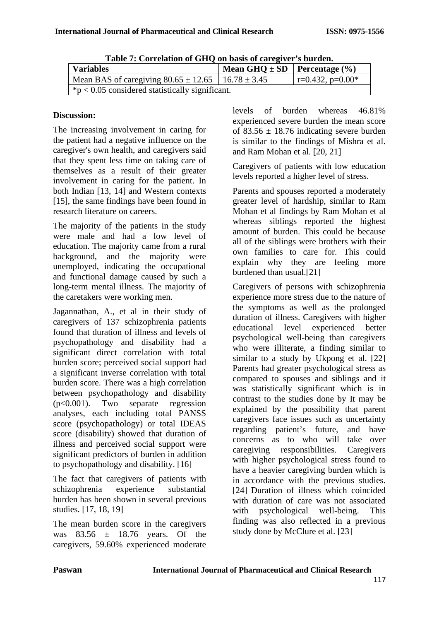| <b>Table 7: Correlation of GHQ on basis of caregiver's burden.</b> |                                        |                     |  |  |
|--------------------------------------------------------------------|----------------------------------------|---------------------|--|--|
| <b>Variables</b>                                                   | Mean GHQ $\pm$ SD   Percentage $(\% )$ |                     |  |  |
| Mean BAS of caregiving $80.65 \pm 12.65$   16.78 $\pm 3.45$        |                                        | $r=0.432$ , p=0.00* |  |  |
| $\mid$ *p < 0.05 considered statistically significant.             |                                        |                     |  |  |

**Table 7: Correlation of GHQ on basis of caregiver's burden.**

## **Discussion:**

The increasing involvement in caring for the patient had a negative influence on the caregiver's own health, and caregivers said that they spent less time on taking care of themselves as a result of their greater involvement in caring for the patient. In both Indian [13, 14] and Western contexts [15], the same findings have been found in research literature on careers.

The majority of the patients in the study were male and had a low level of education. The majority came from a rural background, and the majority were unemployed, indicating the occupational and functional damage caused by such a long-term mental illness. The majority of the caretakers were working men.

Jagannathan, A., et al in their study of caregivers of 137 schizophrenia patients found that duration of illness and levels of psychopathology and disability had a significant direct correlation with total burden score; perceived social support had a significant inverse correlation with total burden score. There was a high correlation between psychopathology and disability (p<0.001). Two separate regression analyses, each including total PANSS score (psychopathology) or total IDEAS score (disability) showed that duration of illness and perceived social support were significant predictors of burden in addition to psychopathology and disability. [16]

The fact that caregivers of patients with schizophrenia experience substantial burden has been shown in several previous studies. [17, 18, 19]

The mean burden score in the caregivers was  $83.56 \pm 18.76$  years. Of the caregivers, 59.60% experienced moderate levels of burden whereas 46.81% experienced severe burden the mean score of  $83.56 \pm 18.76$  indicating severe burden is similar to the findings of Mishra et al. and Ram Mohan et al. [20, 21]

Caregivers of patients with low education levels reported a higher level of stress.

Parents and spouses reported a moderately greater level of hardship, similar to Ram Mohan et al findings by Ram Mohan et al whereas siblings reported the highest amount of burden. This could be because all of the siblings were brothers with their own families to care for. This could explain why they are feeling more burdened than usual.[21]

Caregivers of persons with schizophrenia experience more stress due to the nature of the symptoms as well as the prolonged duration of illness. Caregivers with higher educational level experienced better psychological well-being than caregivers who were illiterate, a finding similar to similar to a study by Ukpong et al. [22] Parents had greater psychological stress as compared to spouses and siblings and it was statistically significant which is in contrast to the studies done by It may be explained by the possibility that parent caregivers face issues such as uncertainty regarding patient's future, and have concerns as to who will take over caregiving responsibilities. Caregivers with higher psychological stress found to have a heavier caregiving burden which is in accordance with the previous studies. [24] Duration of illness which coincided with duration of care was not associated with psychological well-being. This finding was also reflected in a previous study done by McClure et al. [23]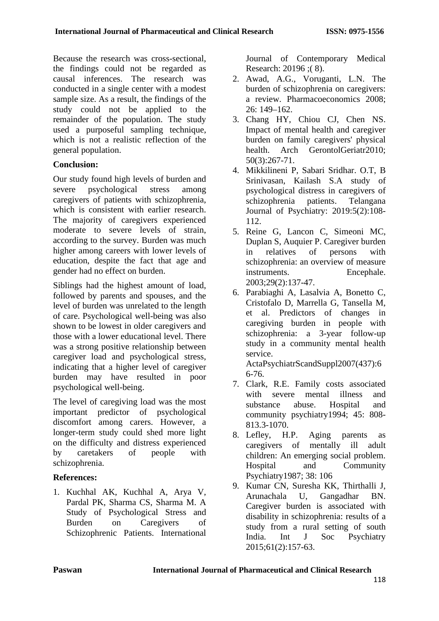Because the research was cross-sectional, the findings could not be regarded as causal inferences. The research was conducted in a single center with a modest sample size. As a result, the findings of the study could not be applied to the remainder of the population. The study used a purposeful sampling technique, which is not a realistic reflection of the general population.

## **Conclusion:**

Our study found high levels of burden and severe psychological stress among caregivers of patients with schizophrenia, which is consistent with earlier research. The majority of caregivers experienced moderate to severe levels of strain, according to the survey. Burden was much higher among careers with lower levels of education, despite the fact that age and gender had no effect on burden.

Siblings had the highest amount of load, followed by parents and spouses, and the level of burden was unrelated to the length of care. Psychological well-being was also shown to be lowest in older caregivers and those with a lower educational level. There was a strong positive relationship between caregiver load and psychological stress, indicating that a higher level of caregiver burden may have resulted in poor psychological well-being.

The level of caregiving load was the most important predictor of psychological discomfort among carers. However, a longer-term study could shed more light on the difficulty and distress experienced by caretakers of people with schizophrenia.

# **References:**

1. Kuchhal AK, Kuchhal A, Arya V, Pardal PK, Sharma CS, Sharma M. A Study of Psychological Stress and Burden on Caregivers of Schizophrenic Patients. International Journal of Contemporary Medical Research: 20196 ;( 8).

- 2. Awad, A.G., Voruganti, L.N. The burden of schizophrenia on caregivers: a review. Pharmacoeconomics 2008; 26: 149–162.
- 3. Chang HY, Chiou CJ, Chen NS. Impact of mental health and caregiver burden on family caregivers' physical health. Arch GerontolGeriatr2010; 50(3):267-71.
- 4. Mikkilineni P, Sabari Sridhar. O.T, B Srinivasan, Kailash S.A study of psychological distress in caregivers of schizophrenia patients. Telangana Journal of Psychiatry: 2019:5(2):108- 112.
- 5. Reine G, Lancon C, Simeoni MC, Duplan S, Auquier P. Caregiver burden in relatives of persons with schizophrenia: an overview of measure instruments. Encephale. 2003;29(2):137-47.
- 6. Parabiaghi A, Lasalvia A, Bonetto C, Cristofalo D, Marrella G, Tansella M, et al. Predictors of changes in caregiving burden in people with schizophrenia: a 3-year follow-up study in a community mental health service. ActaPsychiatrScandSuppl2007(437):6

6-76.

- 7. Clark, R.E. Family costs associated with severe mental illness and substance abuse. Hospital and community psychiatry1994; 45: 808- 813.3-1070.
- 8. Lefley, H.P. Aging parents as caregivers of mentally ill adult children: An emerging social problem. Hospital and Community Psychiatry1987; 38: 106
- 9. Kumar CN, Suresha KK, Thirthalli J, Arunachala U, Gangadhar BN. Caregiver burden is associated with disability in schizophrenia: results of a study from a rural setting of south India. Int J Soc Psychiatry 2015;61(2):157-63.